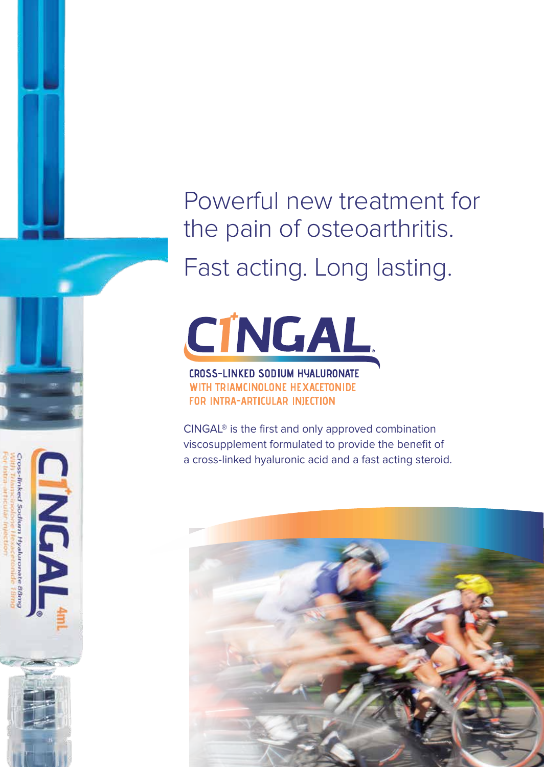Powerful new treatment for the pain of osteoarthritis.

Fast acting. Long lasting.

**CÍNGAL** 

#### CROSS-LINKED SODIUM HYALURONATE WITH TRIAMCINOLONE HEXACETONIDE **FOR INTRA-ARTICULAR INJECTION**

Cross-linked Sodium Hyaluronate 88m

**H** 

CINGAL® is the first and only approved combination viscosupplement formulated to provide the benefit of a cross-linked hyaluronic acid and a fast acting steroid.

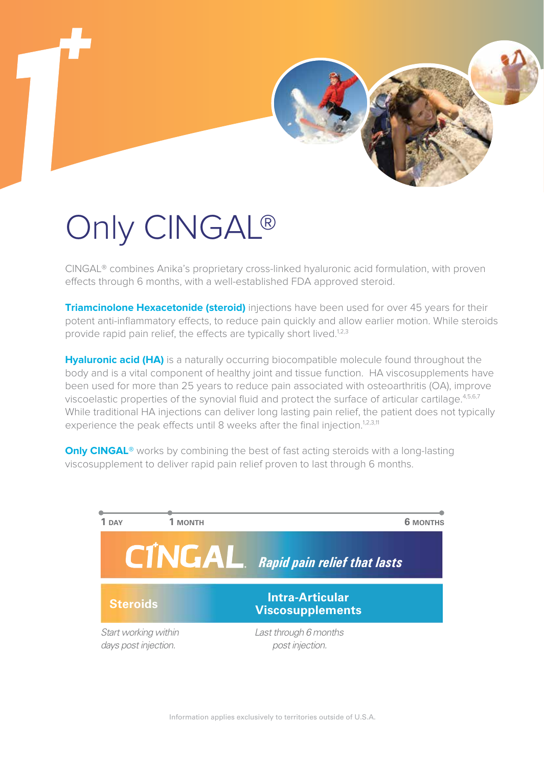

# Only CINGAL®

CINGAL® combines Anika's proprietary cross-linked hyaluronic acid formulation, with proven effects through 6 months, with a well-established FDA approved steroid.

**Triamcinolone Hexacetonide (steroid)** injections have been used for over 45 years for their potent anti-inflammatory effects, to reduce pain quickly and allow earlier motion. While steroids provide rapid pain relief, the effects are typically short lived.<sup>1,2,3</sup>

**Hyaluronic acid (HA)** is a naturally occurring biocompatible molecule found throughout the body and is a vital component of healthy joint and tissue function. HA viscosupplements have been used for more than 25 years to reduce pain associated with osteoarthritis (OA), improve viscoelastic properties of the synovial fluid and protect the surface of articular cartilage. 4,5,6,7 While traditional HA injections can deliver long lasting pain relief, the patient does not typically experience the peak effects until 8 weeks after the final injection.<sup>1,2,3,11</sup>

**Only CINGAL®** works by combining the best of fast acting steroids with a long-lasting viscosupplement to deliver rapid pain relief proven to last through 6 months.

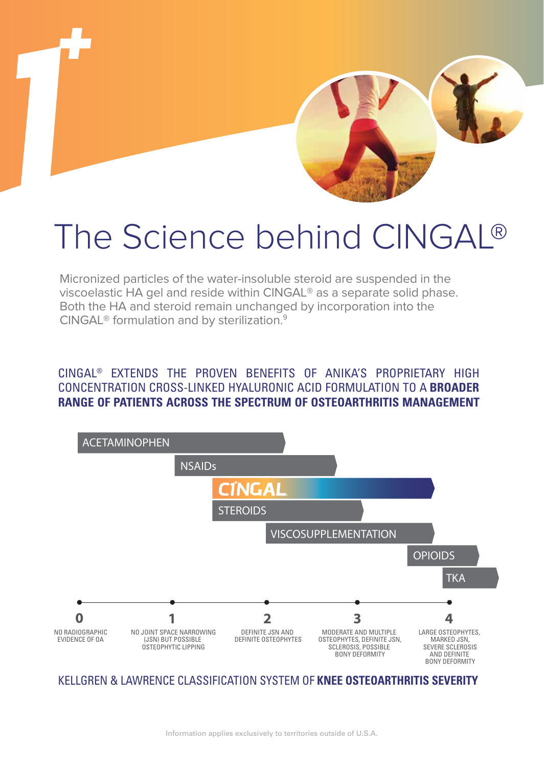

### The Science behind CINGAL®

Micronized particles of the water-insoluble steroid are suspended in the viscoelastic HA gel and reside within CINGAL® as a separate solid phase. Both the HA and steroid remain unchanged by incorporation into the CINGAL® formulation and by sterilization.9

#### CINGAL® EXTENDS THE PROVEN BENEFITS OF ANIKA'S PROPRIETARY HIGH CONCENTRATION CROSS-LINKED HYALURONIC ACID FORMULATION TO A **BROADER RANGE OF PATIENTS ACROSS THE SPECTRUM OF OSTEOARTHRITIS MANAGEMENT**



#### KELLGREN & LAWRENCE CLASSIFICATION SYSTEM OF **KNEE OSTEOARTHRITIS SEVERITY**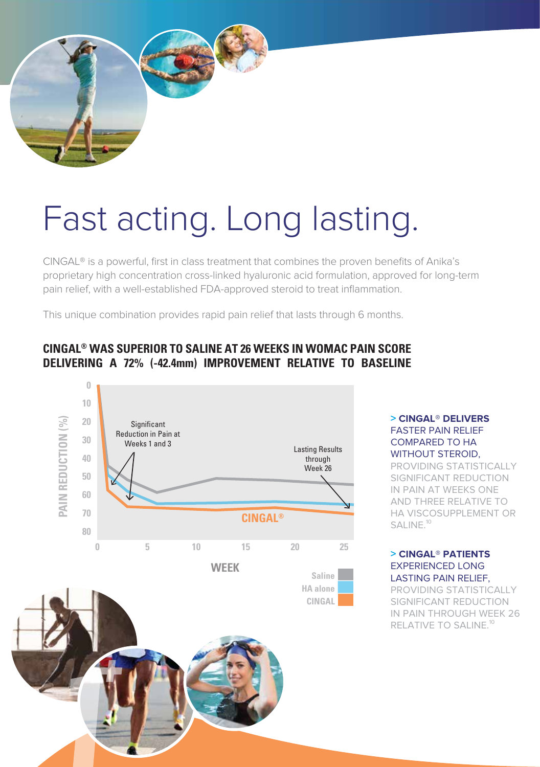

# Fast acting. Long lasting.

CINGAL® is a powerful, first in class treatment that combines the proven benefits of Anika's proprietary high concentration cross-linked hyaluronic acid formulation, approved for long-term pain relief, with a well-established FDA-approved steroid to treat inflammation.

This unique combination provides rapid pain relief that lasts through 6 months.

### **CINGAL® WAS SUPERIOR TO SALINE AT 26 WEEKS IN WOMAC PAIN SCORE DELIVERING A 72% (-42.4mm) IMPROVEMENT RELATIVE TO BASELINE**



#### **> CINGAL® DELIVERS** FASTER PAIN RELIEF COMPARED TO HA WITHOUT STEROID,

PROVIDING STATISTICALLY SIGNIFICANT REDUCTION IN PAIN AT WEEKS ONE AND THREE RELATIVE TO HA VISCOSUPPLEMENT OR SALINE<sup>10</sup>

#### **> CINGAL® PATIENTS** EXPERIENCED LONG LASTING PAIN RELIEF,

PROVIDING STATISTICALLY SIGNIFICANT REDUCTION IN PAIN THROUGH WEEK 26 RELATIVE TO SALINE.<sup>10</sup>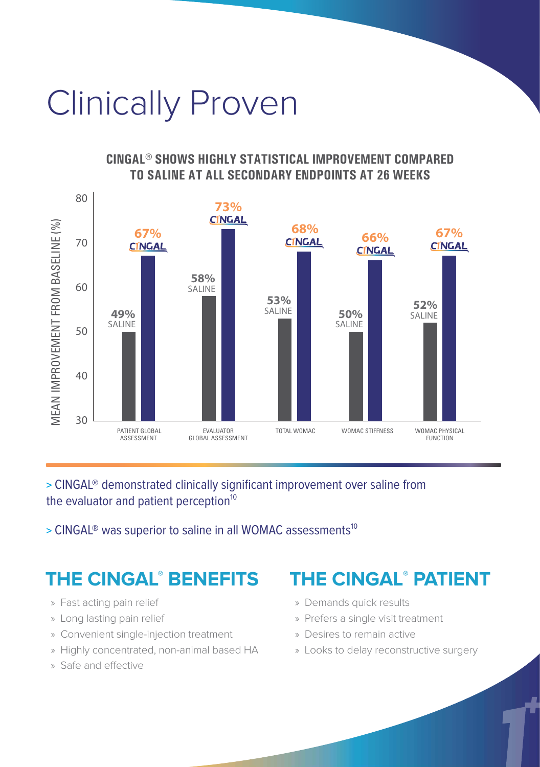# Clinically Proven

#### **CINGAL® SHOWS HIGHLY STATISTICAL IMPROVEMENT COMPARED TO SALINE AT ALL SECONDARY ENDPOINTS AT 26 WEEKS**



#### **>** CINGAL® demonstrated clinically significant improvement over saline from the evaluator and patient perception $10$

**>** CINGAL® was superior to saline in all WOMAC assessments 10

### **THE CINGAL® THE CINGAL PATIENT ® BENEFITS**

- » Fast acting pain relief
- » Long lasting pain relief
- » Convenient single-injection treatment
- » Highly concentrated, non-animal based HA
- » Safe and effective

- » Demands quick results
- » Prefers a single visit treatment
- » Desires to remain active
- » Looks to delay reconstructive surgery